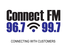# **Gommeet FM** 4H7G44H

#### CONNECTING WITH CUSTOMERS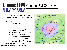## **Connect FM Connect FM Overview**  $96.7 < 99.7$

Connect Radio is the local source for news and conversation in DuBois, PA.

Featuring the biggest names in talk radio: Rush, Hannity, Clark Howard and CBS **Sports** 

|                                        | <b>Station: Connect FM</b>              |
|----------------------------------------|-----------------------------------------|
|                                        | <b>Frequency: FM 96.7 &amp; FM 99.7</b> |
| <b>AM Coverage: AM 1420</b>            |                                         |
|                                        | <b>Web: Connectradio.fm</b>             |
|                                        | & Connect FM App                        |
|                                        | <b>Format:</b> News, Talk, Sports       |
| <b>Target Audience:</b> Adults 45+     |                                         |
| <b>Primary Market Area: DuBois, PA</b> |                                         |

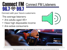# Connect FM Connect FM Listeners  $96.7 < 99.7$

Connect with your future customers:

The average listeners:

- Are adults aged 45+
- Have high disposable income
- Are active consumers



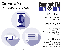#### Our Media Mix

Top of Mind Everywhere All The Time





#### ON THE AIR

Connect FM 96.7 & 99.7 AM 1420

#### ON THE WEB

connectradio.fm Facebook Page Tri-County Insider Emails Podcasts

#### ON THE GO

Connect FM Mobile App Mobile Text Club Listen with Smart Speakers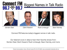#### Biggest Names in Talk Radio









Gordon Deal Clark Howard Rush Limbaugh Sean Hannity

Connect FM features today's biggest names in talk radio.

Our listeners tune in daily to hear their favorite shows from: Gordon Deal, Clark Howard, Rush Limbaugh, Sean Hannity, and more.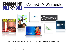#### Connect FM Weekends



Connect FM weekends are full of fun and informing specialty shows.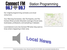#### Station Programming

Our original programming connects us to local consumers.

Your Morning Connection, Ask The Experts, and The Contact Show provide influential coverage of local news, businesses, professions, and everything in between.

Local listeners tune into Connect FM when they want to know what's happening in their area.



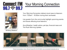## **Connect FM**  $96.7 <sup>0.7</sup>$

#### Your Morning Connection



Brittany Madera

Your Morning Connection delivers local news to listeners from 7:00am – 8:30am during their workweek.

Live guests from the community highlight upcoming events and issues affecting local listeners.

AccuWeather, health advice, pet tips, financial news and The Rush Morning Update.

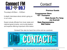Contact!

Thursday's 8:30am – 9:30am

In-depth interviews about what's going on in our area.

Guest include officials from local, state and national governments, community leaders and experts offering important information. **Previous Guests**

**Congressman Glenn "GT" Thompson**

> **State Senate Pro Temp Joe Scarnati State Representative Matt Gabler**

Contact! Can also be heard live online and as a podcast.

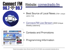



#### Website: [connectradio.fm](https://www.connectradio.fm/)

- Best Source of Local News (70k+ unique users/mo)
- [Connect.FM Live Stream \(](http://player.listenlive.co/43651)500 Unique Weekly Listeners)



- Contests and Promotions
- Programming Information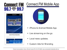

**Latest Podcast Episodes** 



#### Connect.FM Mobile App



- iPhone & Android Mobile App
- Live streaming on the go.
- Local news updates.
- Custom Ads for Branding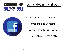#### Social Media: Facebook



- Go-To Source for Local News
- Promotions and Contests
- Interact directly with listeners
- Monthly Reach of 70,000+